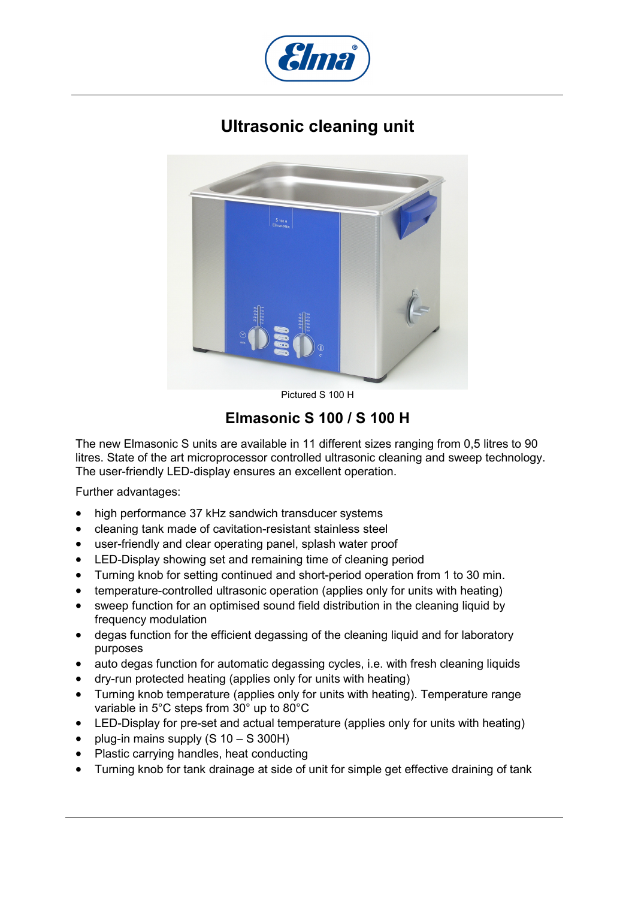

## **Ultrasonic cleaning unit**



Pictured S 100 H

## **Elmasonic S 100 / S 100 H**

The new Elmasonic S units are available in 11 different sizes ranging from 0,5 litres to 90 litres. State of the art microprocessor controlled ultrasonic cleaning and sweep technology. The user-friendly LED-display ensures an excellent operation.

Further advantages:

- high performance 37 kHz sandwich transducer systems
- cleaning tank made of cavitation-resistant stainless steel
- user-friendly and clear operating panel, splash water proof
- LED-Display showing set and remaining time of cleaning period
- Turning knob for setting continued and short-period operation from 1 to 30 min.
- temperature-controlled ultrasonic operation (applies only for units with heating)
- sweep function for an optimised sound field distribution in the cleaning liquid by frequency modulation
- degas function for the efficient degassing of the cleaning liquid and for laboratory purposes
- auto degas function for automatic degassing cycles, i.e. with fresh cleaning liquids
- dry-run protected heating (applies only for units with heating)
- Turning knob temperature (applies only for units with heating). Temperature range variable in 5°C steps from 30° up to 80°C
- LED-Display for pre-set and actual temperature (applies only for units with heating)
- plug-in mains supply (S 10 S 300H)
- Plastic carrying handles, heat conducting
- Turning knob for tank drainage at side of unit for simple get effective draining of tank